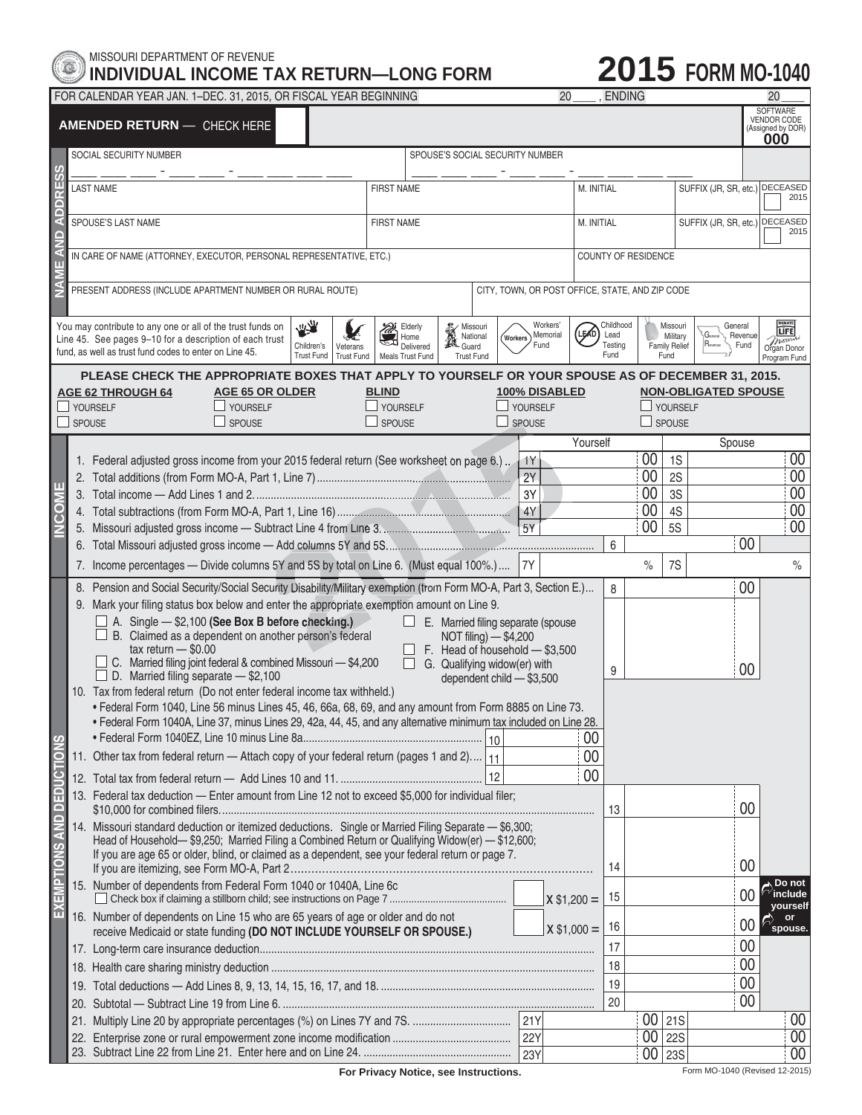

## MISSOURI DEPARTMENT OF REVENUE **INDIVIDUAL INCOME TAX RETURN—LONG FORM**

## **2015 FORM MO-1040**

FOR CALENDAR YEAR JAN. 1–DEC. 31, 2015, OR FISCAL YEAR BEGINNING 20 \_\_\_\_ , ENDING 20 \_\_\_\_

| <b>AMENDED RETURN - CHECK HERE</b>                                                                                                                                                                                                                        |                                                                                                              |                                                                                                                                                                                                                                                                                                                                                                                                                                                                                                                                                                                                                                                                                                                                                                                                                                                                                                                                                                                                                                                                                                                                                                                                                                                                                                                               |                                 |                                                                                                |                                                                                                                                                            |                                              |                  |                                |                                      |                                    | <b>SOFTWARE</b><br><b>VENDOR CODE</b><br>(Assigned by DOR)<br>000 |                                                                          |                                                 |
|-----------------------------------------------------------------------------------------------------------------------------------------------------------------------------------------------------------------------------------------------------------|--------------------------------------------------------------------------------------------------------------|-------------------------------------------------------------------------------------------------------------------------------------------------------------------------------------------------------------------------------------------------------------------------------------------------------------------------------------------------------------------------------------------------------------------------------------------------------------------------------------------------------------------------------------------------------------------------------------------------------------------------------------------------------------------------------------------------------------------------------------------------------------------------------------------------------------------------------------------------------------------------------------------------------------------------------------------------------------------------------------------------------------------------------------------------------------------------------------------------------------------------------------------------------------------------------------------------------------------------------------------------------------------------------------------------------------------------------|---------------------------------|------------------------------------------------------------------------------------------------|------------------------------------------------------------------------------------------------------------------------------------------------------------|----------------------------------------------|------------------|--------------------------------|--------------------------------------|------------------------------------|-------------------------------------------------------------------|--------------------------------------------------------------------------|-------------------------------------------------|
| SOCIAL SECURITY NUMBER                                                                                                                                                                                                                                    |                                                                                                              |                                                                                                                                                                                                                                                                                                                                                                                                                                                                                                                                                                                                                                                                                                                                                                                                                                                                                                                                                                                                                                                                                                                                                                                                                                                                                                                               | SPOUSE'S SOCIAL SECURITY NUMBER |                                                                                                |                                                                                                                                                            |                                              |                  |                                |                                      |                                    |                                                                   |                                                                          |                                                 |
| <b>ADDRESS</b>                                                                                                                                                                                                                                            |                                                                                                              | <b>LAST NAME</b>                                                                                                                                                                                                                                                                                                                                                                                                                                                                                                                                                                                                                                                                                                                                                                                                                                                                                                                                                                                                                                                                                                                                                                                                                                                                                                              | <b>FIRST NAME</b>               |                                                                                                |                                                                                                                                                            |                                              | M. INITIAL       |                                | SUFFIX (JR, SR, etc.) DECEASED       | 2015                               |                                                                   |                                                                          |                                                 |
| $\Box$                                                                                                                                                                                                                                                    |                                                                                                              | SPOUSE'S LAST NAME                                                                                                                                                                                                                                                                                                                                                                                                                                                                                                                                                                                                                                                                                                                                                                                                                                                                                                                                                                                                                                                                                                                                                                                                                                                                                                            | <b>FIRST NAME</b>               |                                                                                                |                                                                                                                                                            | SUFFIX (JR, SR, etc.) DECEASED<br>M. INITIAL |                  |                                |                                      | 2015                               |                                                                   |                                                                          |                                                 |
|                                                                                                                                                                                                                                                           |                                                                                                              | IN CARE OF NAME (ATTORNEY, EXECUTOR, PERSONAL REPRESENTATIVE, ETC.)                                                                                                                                                                                                                                                                                                                                                                                                                                                                                                                                                                                                                                                                                                                                                                                                                                                                                                                                                                                                                                                                                                                                                                                                                                                           |                                 |                                                                                                |                                                                                                                                                            |                                              |                  | COUNTY OF RESIDENCE            |                                      |                                    |                                                                   |                                                                          |                                                 |
|                                                                                                                                                                                                                                                           | PRESENT ADDRESS (INCLUDE APARTMENT NUMBER OR RURAL ROUTE)<br>CITY, TOWN, OR POST OFFICE, STATE, AND ZIP CODE |                                                                                                                                                                                                                                                                                                                                                                                                                                                                                                                                                                                                                                                                                                                                                                                                                                                                                                                                                                                                                                                                                                                                                                                                                                                                                                                               |                                 |                                                                                                |                                                                                                                                                            |                                              |                  |                                |                                      |                                    |                                                                   |                                                                          |                                                 |
| 大家<br>You may contribute to any one or all of the trust funds on<br>Line 45. See pages 9-10 for a description of each trust<br>Children's<br>Veterans<br>fund, as well as trust fund codes to enter on Line 45.<br><b>Trust Fund</b><br><b>Trust Fund</b> |                                                                                                              |                                                                                                                                                                                                                                                                                                                                                                                                                                                                                                                                                                                                                                                                                                                                                                                                                                                                                                                                                                                                                                                                                                                                                                                                                                                                                                                               |                                 | Elderly<br>Home<br>Delivered<br>Meals Trust Fund                                               | Missouri<br>National<br>Guard<br>Guard<br><b>Trust Fund</b>                                                                                                |                                              | (Workers<br>Fund | Workers'<br>(LEAD)<br>Memorial | Childhood<br>Lead<br>Testing<br>Fund |                                    | Missouri<br>Military<br><b>Family Relief</b><br>Fund              | General<br>G <sub>eneral</sub><br>Revenue<br>$R_{\text{evenue}}$<br>Fund | DONATE<br>missou<br>Organ Donor<br>Program Fund |
| PLEASE CHECK THE APPROPRIATE BOXES THAT APPLY TO YOURSELF OR YOUR SPOUSE AS OF DECEMBER 31, 2015.<br><b>AGE 62 THROUGH 64</b><br><b>AGE 65 OR OLDER</b><br>YOURSELF<br>YOURSELF<br>SPOUSE<br>SPOUSE                                                       |                                                                                                              |                                                                                                                                                                                                                                                                                                                                                                                                                                                                                                                                                                                                                                                                                                                                                                                                                                                                                                                                                                                                                                                                                                                                                                                                                                                                                                                               |                                 | 100% DISABLED<br><b>BLIND</b><br>$\Box$ YOURSELF<br>YOURSELF<br>$\Box$ SPOUSE<br>$\Box$ SPOUSE |                                                                                                                                                            |                                              |                  |                                | YOURSELF<br>SPOUSE                   | <b>NON-OBLIGATED SPOUSE</b>        |                                                                   |                                                                          |                                                 |
|                                                                                                                                                                                                                                                           |                                                                                                              |                                                                                                                                                                                                                                                                                                                                                                                                                                                                                                                                                                                                                                                                                                                                                                                                                                                                                                                                                                                                                                                                                                                                                                                                                                                                                                                               |                                 |                                                                                                |                                                                                                                                                            |                                              |                  |                                | Yourself                             |                                    |                                                                   | Spouse                                                                   |                                                 |
|                                                                                                                                                                                                                                                           |                                                                                                              | 1. Federal adjusted gross income from your 2015 federal return (See worksheet on page 6.).                                                                                                                                                                                                                                                                                                                                                                                                                                                                                                                                                                                                                                                                                                                                                                                                                                                                                                                                                                                                                                                                                                                                                                                                                                    |                                 |                                                                                                |                                                                                                                                                            |                                              | 1Y<br>2Y         |                                |                                      | $\overline{00}$<br>$\overline{00}$ | 1S<br>2S                                                          |                                                                          | 00<br>$\overline{00}$                           |
| π                                                                                                                                                                                                                                                         |                                                                                                              |                                                                                                                                                                                                                                                                                                                                                                                                                                                                                                                                                                                                                                                                                                                                                                                                                                                                                                                                                                                                                                                                                                                                                                                                                                                                                                                               |                                 |                                                                                                |                                                                                                                                                            |                                              | 3Y               |                                |                                      | $\overline{00}$                    | 3S                                                                |                                                                          | 00                                              |
| <b>MCS</b>                                                                                                                                                                                                                                                |                                                                                                              |                                                                                                                                                                                                                                                                                                                                                                                                                                                                                                                                                                                                                                                                                                                                                                                                                                                                                                                                                                                                                                                                                                                                                                                                                                                                                                                               |                                 |                                                                                                |                                                                                                                                                            |                                              | 4Y               |                                |                                      | $\overline{00}$                    | 4S                                                                |                                                                          | 00                                              |
|                                                                                                                                                                                                                                                           |                                                                                                              |                                                                                                                                                                                                                                                                                                                                                                                                                                                                                                                                                                                                                                                                                                                                                                                                                                                                                                                                                                                                                                                                                                                                                                                                                                                                                                                               |                                 |                                                                                                |                                                                                                                                                            |                                              | 5Y               |                                |                                      | $\overline{00}$                    | <b>5S</b>                                                         |                                                                          | $\overline{00}$                                 |
|                                                                                                                                                                                                                                                           |                                                                                                              |                                                                                                                                                                                                                                                                                                                                                                                                                                                                                                                                                                                                                                                                                                                                                                                                                                                                                                                                                                                                                                                                                                                                                                                                                                                                                                                               |                                 |                                                                                                |                                                                                                                                                            |                                              |                  |                                | 6                                    |                                    |                                                                   | 00                                                                       |                                                 |
|                                                                                                                                                                                                                                                           |                                                                                                              | 7. Income percentages - Divide columns 5Y and 5S by total on Line 6. (Must equal 100%.)                                                                                                                                                                                                                                                                                                                                                                                                                                                                                                                                                                                                                                                                                                                                                                                                                                                                                                                                                                                                                                                                                                                                                                                                                                       |                                 |                                                                                                |                                                                                                                                                            |                                              | 7Y               |                                |                                      | $\%$                               | 7S                                                                |                                                                          | $\%$                                            |
| <b>EDUCTIONS</b><br>EXEMPTIONS AND DI                                                                                                                                                                                                                     |                                                                                                              | 8. Pension and Social Security/Social Security Disability/Military exemption (from Form MO-A, Part 3, Section E.)<br>9. Mark your filing status box below and enter the appropriate exemption amount on Line 9.<br>$\Box$ A. Single $-$ \$2,100 (See Box B before checking.)<br>$\Box$ B. Claimed as a dependent on another person's federal<br>$tax$ return $-$ \$0.00<br>$\Box$ C. Married filing joint federal & combined Missouri - \$4,200<br>$\Box$ D. Married filing separate $-$ \$2,100<br>10. Tax from federal return (Do not enter federal income tax withheld.)<br>• Federal Form 1040, Line 56 minus Lines 45, 46, 66a, 68, 69, and any amount from Form 8885 on Line 73.<br>. Federal Form 1040A, Line 37, minus Lines 29, 42a, 44, 45, and any alternative minimum tax included on Line 28.<br>11. Other tax from federal return - Attach copy of your federal return (pages 1 and 2)   11<br>13. Federal tax deduction - Enter amount from Line 12 not to exceed \$5,000 for individual filer;<br>14. Missouri standard deduction or itemized deductions. Single or Married Filing Separate - \$6,300;<br>Head of Household-\$9,250; Married Filing a Combined Return or Qualifying Widow(er) - \$12,600;<br>If you are age 65 or older, blind, or claimed as a dependent, see your federal return or page 7. |                                 | LΙ                                                                                             | E. Married filing separate (spouse<br>NOT filing) - \$4,200<br>F. Head of household - \$3,500<br>G. Qualifying widow(er) with<br>dependent child - \$3,500 | 12                                           |                  |                                | 8<br>9<br>00<br>00<br>00<br>13<br>14 |                                    |                                                                   | 00<br>00<br>00<br>00                                                     |                                                 |
|                                                                                                                                                                                                                                                           |                                                                                                              | 15. Number of dependents from Federal Form 1040 or 1040A, Line 6c                                                                                                                                                                                                                                                                                                                                                                                                                                                                                                                                                                                                                                                                                                                                                                                                                                                                                                                                                                                                                                                                                                                                                                                                                                                             |                                 |                                                                                                |                                                                                                                                                            |                                              |                  | $x $1,200 =$                   | 15                                   |                                    |                                                                   | 00                                                                       | ⊾ Do not<br>include<br>vourself                 |
|                                                                                                                                                                                                                                                           |                                                                                                              | 16. Number of dependents on Line 15 who are 65 years of age or older and do not<br>receive Medicaid or state funding (DO NOT INCLUDE YOURSELF OR SPOUSE.)                                                                                                                                                                                                                                                                                                                                                                                                                                                                                                                                                                                                                                                                                                                                                                                                                                                                                                                                                                                                                                                                                                                                                                     |                                 |                                                                                                | $X$ \$1,000 =                                                                                                                                              |                                              |                  | 16                             |                                      |                                    | 00                                                                | or<br>spouse.                                                            |                                                 |
|                                                                                                                                                                                                                                                           |                                                                                                              |                                                                                                                                                                                                                                                                                                                                                                                                                                                                                                                                                                                                                                                                                                                                                                                                                                                                                                                                                                                                                                                                                                                                                                                                                                                                                                                               |                                 |                                                                                                |                                                                                                                                                            |                                              |                  |                                | 17                                   |                                    |                                                                   | 00                                                                       |                                                 |
|                                                                                                                                                                                                                                                           |                                                                                                              |                                                                                                                                                                                                                                                                                                                                                                                                                                                                                                                                                                                                                                                                                                                                                                                                                                                                                                                                                                                                                                                                                                                                                                                                                                                                                                                               |                                 |                                                                                                |                                                                                                                                                            |                                              |                  |                                | 18<br>19                             |                                    |                                                                   | 00<br>00                                                                 |                                                 |
|                                                                                                                                                                                                                                                           |                                                                                                              |                                                                                                                                                                                                                                                                                                                                                                                                                                                                                                                                                                                                                                                                                                                                                                                                                                                                                                                                                                                                                                                                                                                                                                                                                                                                                                                               |                                 |                                                                                                |                                                                                                                                                            |                                              |                  |                                | 20                                   |                                    |                                                                   | 00                                                                       |                                                 |
|                                                                                                                                                                                                                                                           |                                                                                                              |                                                                                                                                                                                                                                                                                                                                                                                                                                                                                                                                                                                                                                                                                                                                                                                                                                                                                                                                                                                                                                                                                                                                                                                                                                                                                                                               |                                 |                                                                                                |                                                                                                                                                            |                                              |                  |                                |                                      |                                    | $\overline{00}$  21S                                              |                                                                          | 00                                              |
|                                                                                                                                                                                                                                                           |                                                                                                              |                                                                                                                                                                                                                                                                                                                                                                                                                                                                                                                                                                                                                                                                                                                                                                                                                                                                                                                                                                                                                                                                                                                                                                                                                                                                                                                               |                                 |                                                                                                |                                                                                                                                                            |                                              |                  |                                |                                      |                                    | $\overline{00 22S}$                                               |                                                                          | $\overline{00}$                                 |
|                                                                                                                                                                                                                                                           |                                                                                                              |                                                                                                                                                                                                                                                                                                                                                                                                                                                                                                                                                                                                                                                                                                                                                                                                                                                                                                                                                                                                                                                                                                                                                                                                                                                                                                                               |                                 |                                                                                                |                                                                                                                                                            |                                              | 23Y              |                                |                                      | $00$ 23S                           |                                                                   |                                                                          | 00                                              |